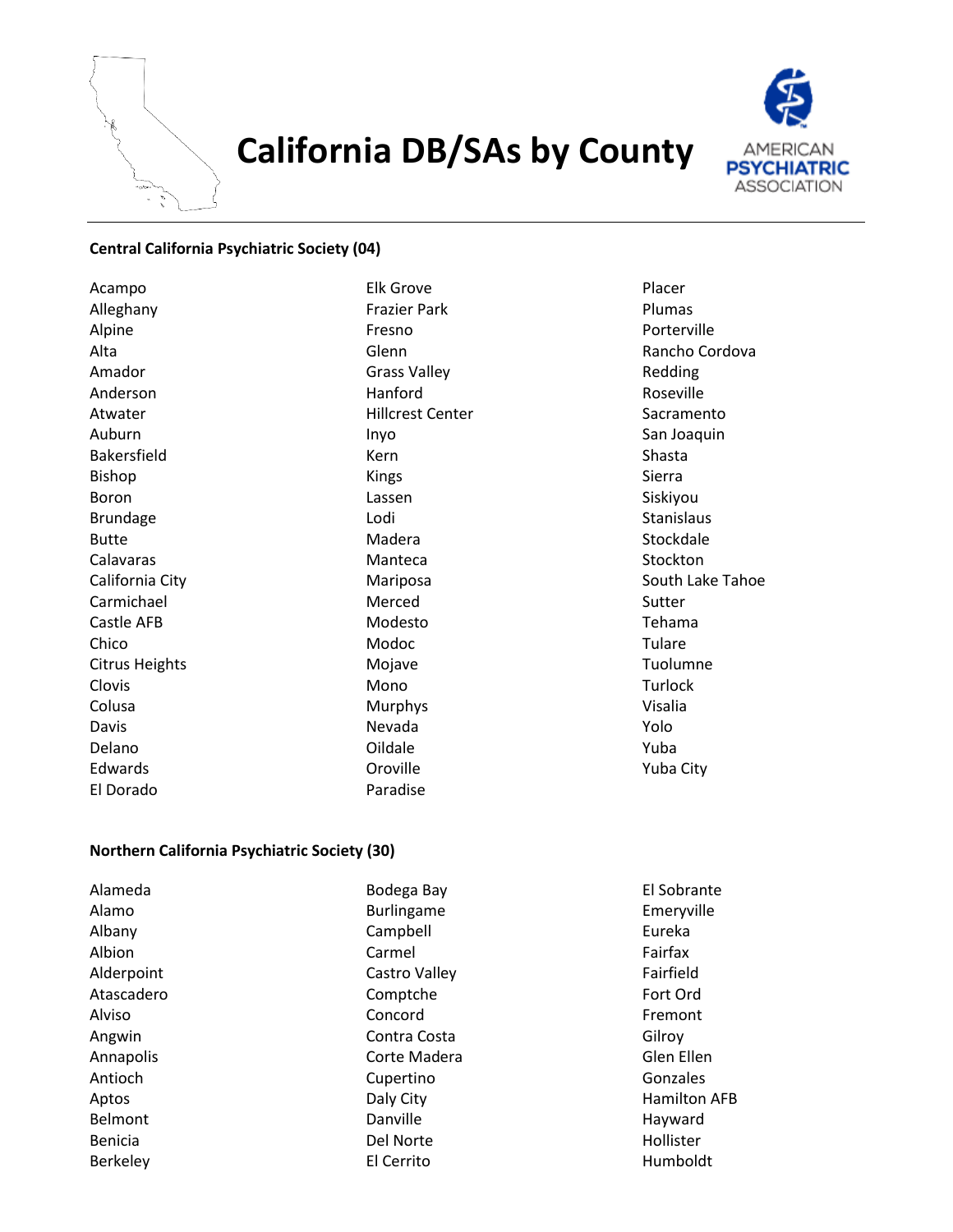

# **California DB/SAs by County**



## **Central California Psychiatric Society (04)**

Acampo Alleghany Alpine Alta Amador Anderson Atwater Auburn Bakersfield Bishop Boron Brundage Butte Calavaras California City Carmichael Castle AFB Chico Citrus Heights Clovis Colusa Davis Delano Edwards El Dorado

Elk Grove Frazier Park Fresno Glenn Grass Valley Hanford Hillcrest Center Inyo Kern Kings Lassen Lodi Madera Manteca Mariposa Merced Modesto Modoc Mojave Mono Murphys Nevada Oildale Oroville Paradise

Placer Plumas Porterville Rancho Cordova Redding Roseville Sacramento San Joaquin Shasta Sierra Siskiyou **Stanislaus Stockdale** Stockton South Lake Tahoe Sutter Tehama Tulare Tuolumne Turlock Visalia Yolo Yuba Yuba City

### **Northern California Psychiatric Society (30)**

| Alameda        | Bodega Bay        | El Sobrante         |
|----------------|-------------------|---------------------|
| Alamo          | <b>Burlingame</b> | Emeryville          |
| Albany         | Campbell          | Eureka              |
| Albion         | Carmel            | Fairfax             |
| Alderpoint     | Castro Valley     | Fairfield           |
| Atascadero     | Comptche          | Fort Ord            |
| Alviso         | Concord           | Fremont             |
| Angwin         | Contra Costa      | Gilroy              |
| Annapolis      | Corte Madera      | Glen Ellen          |
| Antioch        | Cupertino         | Gonzales            |
| Aptos          | Daly City         | <b>Hamilton AFB</b> |
| Belmont        | Danville          | Hayward             |
| <b>Benicia</b> | Del Norte         | Hollister           |
| Berkeley       | El Cerrito        | Humboldt            |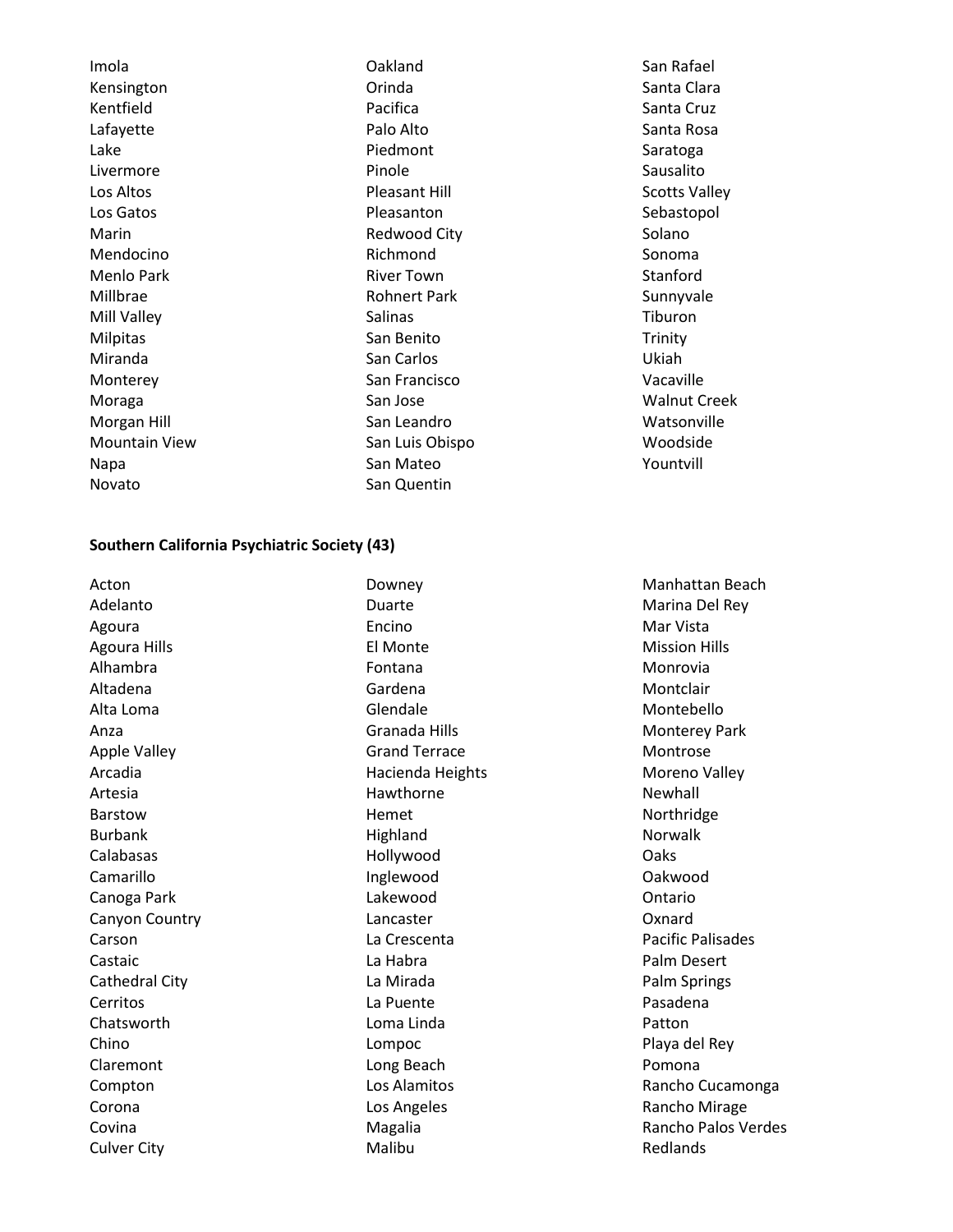Imola Kensington Kentfield Lafayette Lake Livermore Los Altos Los Gatos Marin Mendocino Menlo Park Millbrae Mill Valley Milpitas Miranda Monterey Moraga Morgan Hill Mountain View Napa Novato

Oakland Orinda Pacifica Palo Alto Piedmont Pinole Pleasant Hill Pleasanton Redwood City Richmond River Town Rohnert Park Salinas San Benito San Carlos San Francisco San Jose San Leandro San Luis Obispo San Mateo San Quentin

San Rafael Santa Clara Santa Cruz Santa Rosa Saratoga Sausalito Scotts Valley Sebastopol Solano Sonoma Stanford Sunnyvale Tiburon **Trinity** Ukiah Vacaville Walnut Creek Watsonville Woodside Yountvill

#### **Southern California Psychiatric Society (43)**

Acton Adelanto Agoura Agoura Hills Alhambra Altadena Alta Loma Anza Apple Valley Arcadia Artesia Barstow Burbank Calabasas Camarillo Canoga Park Canyon Country Carson Castaic Cathedral City Cerritos Chatsworth Chino Claremont Compton Corona Covina Culver City

Downey Duarte Encino El Monte Fontana Gardena Glendale Granada Hills Grand Terrace Hacienda Heights Hawthorne Hemet **Highland** Hollywood Inglewood Lakewood Lancaster La Crescenta La Habra La Mirada La Puente Loma Linda Lompoc Long Beach Los Alamitos Los Angeles Magalia Malibu

Manhattan Beach Marina Del Rey Mar Vista Mission Hills Monrovia Montclair Montebello Monterey Park Montrose Moreno Valley Newhall Northridge Norwalk **Oaks** Oakwood Ontario **Oxnard** Pacific Palisades Palm Desert Palm Springs Pasadena Patton Playa del Rey Pomona Rancho Cucamonga Rancho Mirage Rancho Palos Verdes Redlands